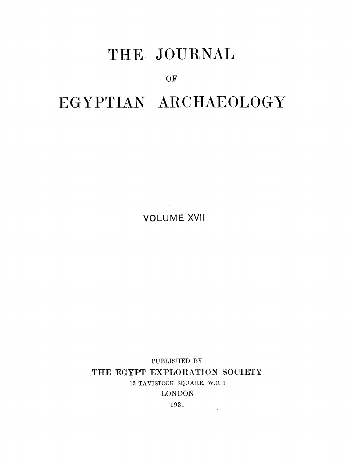## THE JOURNAL

OF<sub>1</sub>

# EGYPTIAN ARCHAEOLOGY

VOLUME XVII

**PUBLISHED BY**  THE EGYPT EXPLORATION SOCIETY 13 TAVISTOCK SQUARE, W.C. 1 LONDON

**1931**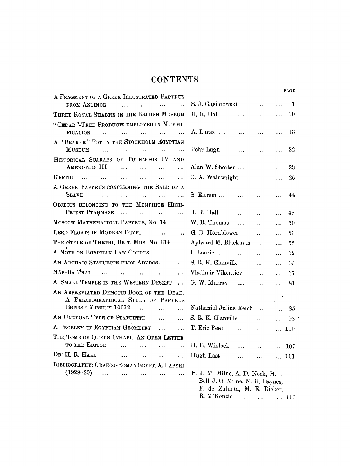## **CONTENT S**

|                                                                                                           |                                                                       | PAGE            |  |
|-----------------------------------------------------------------------------------------------------------|-----------------------------------------------------------------------|-----------------|--|
| A FRAGMENT OF A GREEK ILLUSTRATED PAPYRUS<br>FROM ANTINOË<br>$\ddotsc$<br>$\ddotsc$<br>$\ddotsc$          | S. J. Gasiorowski<br>.<br>$\ddotsc$                                   | 1               |  |
| THREE ROYAL SHABTIS IN THE BRITISH MUSEUM                                                                 | H. R. Hall<br>$\ddotsc$<br>$\ddotsc$<br>$\ddotsc$                     | 10              |  |
| "CEDAR"-TREE PRODUCTS EMPLOYED IN MUMMI-                                                                  |                                                                       |                 |  |
| <b>FICATION</b><br>$\dddot{\phantom{0}}$<br>$\ddotsc$<br>$\ddotsc$<br>$\ddotsc$                           | A. Lucas<br>$\ddotsc$<br>$\cdots$<br>.                                | 13              |  |
| A "BEAKER" POT IN THE STOCKHOLM EGYPTIAN                                                                  |                                                                       |                 |  |
| MUSEUM<br>.<br>$\dddotsc$<br>$\ddotsc$                                                                    | Pehr Lugn<br>$\ddotsc$<br>$\ddotsc$                                   | 22              |  |
| HISTORICAL SCARABS OF TUTHMOSIS IV AND<br>AMENOPHIS III                                                   | Alan W. Shorter                                                       |                 |  |
| $\cdots$<br>$\ddotsc$<br>$\ddotsc$<br>.                                                                   | $\cdots$<br>$\cdots$                                                  | 23              |  |
| KEFTIU<br>$\cdots$<br>$\ddotsc$<br>$\ddotsc$<br>$\ddotsc$<br>$\ddotsc$<br>$\ddotsc$                       | G. A. Wainwright<br>$\cdots$<br>$\cdots$                              | 26              |  |
| A GREEK PAPYRUS CONCERNING THE SALE OF A<br><b>SLAVE</b><br>.<br>$\ddotsc$<br>$\ddotsc$<br>.<br>$\ddotsc$ | S. Eitrem<br>$\ddotsc$                                                | 44              |  |
| OBJECTS BELONGING TO THE MEMPHITE HIGH-                                                                   |                                                                       |                 |  |
| PRIEST PTAHMASE<br>$\ddotsc$<br>$\dddotsc$<br>$\ddotsc$<br>$\ddotsc$                                      | H. R. Hall<br>$\cdots$<br>$\cdots$<br>.                               | 48              |  |
| MOSCOW MATHEMATICAL PAPYRUS, No. 14<br>$\dddotsc$                                                         | W. R. Thomas<br>$\ddotsc$<br>$\ddotsc$<br>$\ddotsc$                   | 50              |  |
| REED-FLOATS IN MODERN EGYPT<br>$\ddotsc$<br>$\ddotsc$                                                     | G. D. Hornblower<br>$\ddotsc$<br>$\ddotsc$                            | 53              |  |
| THE STELE OF THETHI, BRIT. MUS. No. 614<br>$\ddotsc$                                                      | Aylward M. Blackman<br>$\ddotsc$<br>$\cdots$                          | 55              |  |
| A NOTE ON EGYPTIAN LAW-COURTS<br>$\ddotsc$<br>$\cdots$                                                    | I. Lourie<br>$\sim$<br>$\ddotsc$<br>$\ddotsc$                         | 62              |  |
| AN ARCHAIC STATUETTE FROM ABYDOS<br>$\dddotsc$                                                            | S. R. K. Glanville<br>$\cdots$<br>$\ddotsc$                           | 65              |  |
| NÂR-BA-THAI<br>$\ddotsc$<br>$\cdots$                                                                      | Vladimir Vikentiev<br>$\cdots$<br>$\ddotsc$                           | 67              |  |
| A SMALL TEMPLE IN THE WESTERN DESERT<br>$\dddotsc$                                                        | G. W. Murray<br>$\ddotsc$<br>$\cdots$<br>$\ddotsc$                    | 81              |  |
| AN ABBREVIATED DEMOTIC BOOK OF THE DEAD.                                                                  |                                                                       |                 |  |
| A PALAEOGRAPHICAL STUDY OF PAPYRUS                                                                        |                                                                       |                 |  |
| BRITISH MUSEUM 10072<br>$\ddotsc$<br>$\dddot{\phantom{0}}$<br>$\ddotsc$                                   | Nathaniel Julius Reich<br>$\mathbf{r}$                                | 85              |  |
| AN UNUSUAL TYPE OF STATUETTE<br>.<br>$\ddotsc$                                                            | S. R. K. Glanville<br>$\cdots$<br>$\ddotsc$                           | 98 <sup>o</sup> |  |
| A PROBLEM IN EGYPTIAN GEOMETRY<br>$\dddot{\phantom{0}}$<br>$\ddotsc$                                      | T. Eric Peet<br>$\ddotsc$<br>$\ddotsc$                                | $\dots$ 100     |  |
| THE TOMB OF QUEEN INHAPI. AN OPEN LETTER                                                                  |                                                                       |                 |  |
| <b>TO THE EDITOR</b><br>$\ddotsc$<br>$\ddotsc$<br>$\ddotsc$<br>$\ddotsc$                                  | H. E. Winlock<br>$\dddotsc$<br>$\ldots$                               | $\dots$ 107     |  |
| DR. H. R. HALL<br>$\ddotsc$<br>$\ddotsc$<br>$\ddotsc$<br>$\ddotsc$                                        | Hugh Last<br>$\ddotsc$<br>$\ddotsc$                                   | $\ldots$ 111    |  |
| BIBLIOGRAPHY: GRAECO-ROMAN EGYPT. A. PAPYRI                                                               |                                                                       |                 |  |
| $(1929 - 30)$<br>$\sim 100$ km s $^{-1}$ .<br>$\ddotsc$<br>$\cdots$<br>$\ddotsc$<br>$\ddotsc$             | H. J. M. Milne, A. D. Nock, H. I.<br>Bell, J. G. Milne, N. H. Baynes, |                 |  |
|                                                                                                           | F. de Zulueta, M. E. Dicker,                                          |                 |  |
|                                                                                                           | R. M <sup>c</sup> Kenzie<br>$\cdots$ $\cdots$ $\cdots$ 117            |                 |  |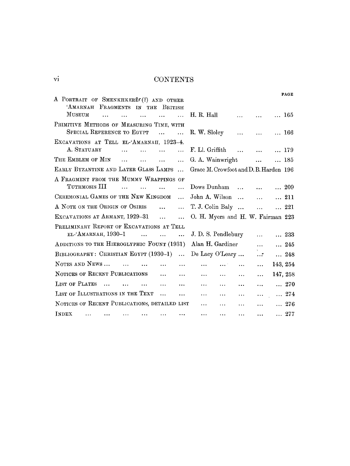### **VI** CONTENTS

| ,,,,,<br>w<br>. .<br>___ |
|--------------------------|
|--------------------------|

| A PORTRAIT OF SMENKHKEREC(?) AND OTHER<br>'AMARNAH FRAGMENTS IN THE BRITISH<br>MUSEUM<br>$\mathbf{A}$<br>$\cdots$<br>$\ddotsc$<br>$\cdots$ | 165<br>H. R. Hall<br>$\ddots$<br>$\cdots$<br><b>Contractor</b>                                                                                                                                                                                          |  |  |
|--------------------------------------------------------------------------------------------------------------------------------------------|---------------------------------------------------------------------------------------------------------------------------------------------------------------------------------------------------------------------------------------------------------|--|--|
| PRIMITIVE METHODS OF MEASURING TIME, WITH                                                                                                  |                                                                                                                                                                                                                                                         |  |  |
| SPECIAL REFERENCE TO EGYPT                                                                                                                 | R. W. Sloley<br>$\ldots$ 166<br><b>The Community Community</b>                                                                                                                                                                                          |  |  |
| EXCAVATIONS AT TELL EL-'AMARNAH, 1923-4.                                                                                                   |                                                                                                                                                                                                                                                         |  |  |
| A. STATUARY<br>$\mathbf{r}$<br>$\ddotsc$<br>$\mathbf{1}$ and $\mathbf{1}$ and $\mathbf{1}$                                                 | F. Ll. Griffith    179                                                                                                                                                                                                                                  |  |  |
| THE EMBLEM OF MIN                                                                                                                          | G. A. Wainwright<br>$\ldots$ 185<br>$\ddotsc$<br>$\dddotsc$                                                                                                                                                                                             |  |  |
| EARLY BYZANTINE AND LATER GLASS LAMPS                                                                                                      | Grace M. Crowfoot and D. B. Harden 196                                                                                                                                                                                                                  |  |  |
| A FRAGMENT FROM THE MUMMY WRAPPINGS OF                                                                                                     |                                                                                                                                                                                                                                                         |  |  |
| TUTHMOSIS III<br>$\sim$ $\sim$ $\sim$<br>$\ddotsc$<br>$\sim$ $\sim$ $\sim$                                                                 | Dows Dunham<br>$\ldots$ 209<br>$\ddotsc$<br>$\ddotsc$                                                                                                                                                                                                   |  |  |
| CEREMONIAL GAMES OF THE NEW KINGDOM                                                                                                        | John A. Wilson<br>$\ldots$ 211<br>$\dddotsc$<br>$\sim$ $\sim$ $\sim$ $\sim$                                                                                                                                                                             |  |  |
| A NOTE ON THE ORIGIN OF OSIRIS                                                                                                             | T. J. Colin Baly<br>$\ldots$ 221                                                                                                                                                                                                                        |  |  |
| EXCAVATIONS AT ARMANT, 1929-31                                                                                                             | O. H. Myers and H. W. Fairman 223                                                                                                                                                                                                                       |  |  |
| PRELIMINARY REPORT OF EXCAVATIONS AT TELL                                                                                                  |                                                                                                                                                                                                                                                         |  |  |
| EL-'AMARNAH, 1930-1<br>$\sim$ 100 $\sim$ 100 $\sim$<br>$\dddotsc$                                                                          | J. D. S. Pendlebury<br>233<br>$\ddotsc$<br>$\ddotsc$                                                                                                                                                                                                    |  |  |
| ADDITIONS TO THE HIEROGLYPHIC FOUNT (1931) Alan H. Gardiner                                                                                | 245<br>$\dddotsc$                                                                                                                                                                                                                                       |  |  |
| BIBLIOGRAPHY: CHRISTIAN EGYPT (1930-1)                                                                                                     | De Lacy O'Leary<br>$\ldots$ 248<br>$\ddotsc$                                                                                                                                                                                                            |  |  |
| NOTES AND NEWS<br>$\dddotsc$<br>$\cdots$                                                                                                   | 143, 254<br>$\ddotsc$<br>$\ldots$ .<br>$\dddotsc$                                                                                                                                                                                                       |  |  |
| NOTICES OF RECENT PUBLICATIONS<br>$\ddotsc$                                                                                                | 147, 258<br><b>ARRIVED BOARD COMPANY</b><br>$\cdots$<br>$\ddotsc$<br>$\ddotsc$                                                                                                                                                                          |  |  |
| LIST OF PLATES<br>$\dddotsc$<br>$\cdots$                                                                                                   | $\dots$ 270<br>$\cdots$ . The same state of the state of the state $\cdots$<br>$\ddotsc$<br>$\ldots$                                                                                                                                                    |  |  |
| LIST OF ILLUSTRATIONS IN THE TEXT                                                                                                          | $\ldots$ 274<br>$\mathbf{r}(\mathbf{r})$ , and $\mathbf{r}(\mathbf{r})$ , and $\mathbf{r}(\mathbf{r})$<br>$\mathcal{L}^{\text{max}}$ , and $\mathcal{L}^{\text{max}}$<br>$\sim 10^{-10}$<br>$\mathbf{r} \cdot \mathbf{r} = \mathbf{r} \cdot \mathbf{r}$ |  |  |
| NOTICES OF RECENT PUBLICATIONS, DETAILED LIST                                                                                              | 276<br><b>Allen Street</b><br>$\ddotsc$<br>$\cdots$                                                                                                                                                                                                     |  |  |
| INDEX<br>$\cdots$<br>$\cdots$<br>$\cdots$<br>$\bullet$ .<br><br><br><br><br><br>$\cdots$                                                   | $\ldots$ 277<br>$\cdots$<br>$\cdots$<br>$\cdots$<br>$\cdots$<br>$\cdots$                                                                                                                                                                                |  |  |